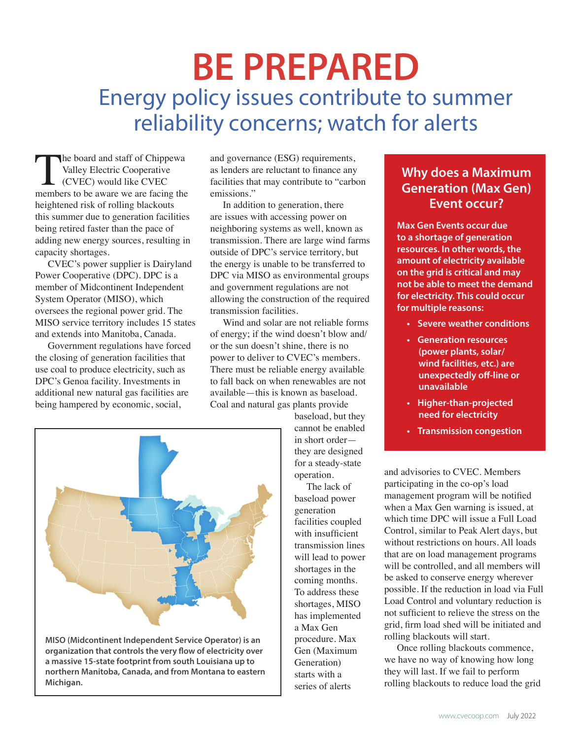# **BE PREPARED** Energy policy issues contribute to summer reliability concerns; watch for alerts

The board and staff of Chippewa<br>
Valley Electric Cooperative<br>
(CVEC) would like CVEC<br>
members to be aware we are facing the Valley Electric Cooperative (CVEC) would like CVEC heightened risk of rolling blackouts this summer due to generation facilities being retired faster than the pace of adding new energy sources, resulting in capacity shortages.

CVEC's power supplier is Dairyland Power Cooperative (DPC). DPC is a member of Midcontinent Independent System Operator (MISO), which oversees the regional power grid. The MISO service territory includes 15 states and extends into Manitoba, Canada.

Government regulations have forced the closing of generation facilities that use coal to produce electricity, such as DPC's Genoa facility. Investments in additional new natural gas facilities are being hampered by economic, social,

and governance (ESG) requirements, as lenders are reluctant to finance any facilities that may contribute to "carbon emissions."

In addition to generation, there are issues with accessing power on neighboring systems as well, known as transmission. There are large wind farms outside of DPC's service territory, but the energy is unable to be transferred to DPC via MISO as environmental groups and government regulations are not allowing the construction of the required transmission facilities.

Wind and solar are not reliable forms of energy; if the wind doesn't blow and/ or the sun doesn't shine, there is no power to deliver to CVEC's members. There must be reliable energy available to fall back on when renewables are not available—this is known as baseload. Coal and natural gas plants provide



**MISO (Midcontinent Independent Service Operator) is an organization that controls the very flow of electricity over a massive 15-state footprint from south Louisiana up to northern Manitoba, Canada, and from Montana to eastern Michigan.**

baseload, but they cannot be enabled in short order they are designed for a steady-state operation.

 The lack of baseload power generation facilities coupled with insufficient transmission lines will lead to power shortages in the coming months. To address these shortages, MISO has implemented a Max Gen procedure. Max Gen (Maximum Generation) starts with a series of alerts

## **Why does a Maximum Generation (Max Gen) Event occur?**

**Max Gen Events occur due to a shortage of generation resources. In other words, the amount of electricity available on the grid is critical and may not be able to meet the demand for electricity. This could occur for multiple reasons:**

- **• Severe weather conditions**
- **• Generation resources (power plants, solar/ wind facilities, etc.) are unexpectedly off-line or unavailable**
- **• Higher-than-projected need for electricity**
- **• Transmission congestion**

and advisories to CVEC. Members participating in the co-op's load management program will be notified when a Max Gen warning is issued, at which time DPC will issue a Full Load Control, similar to Peak Alert days, but without restrictions on hours. All loads that are on load management programs will be controlled, and all members will be asked to conserve energy wherever possible. If the reduction in load via Full Load Control and voluntary reduction is not sufficient to relieve the stress on the grid, firm load shed will be initiated and rolling blackouts will start.

Once rolling blackouts commence, we have no way of knowing how long they will last. If we fail to perform rolling blackouts to reduce load the grid